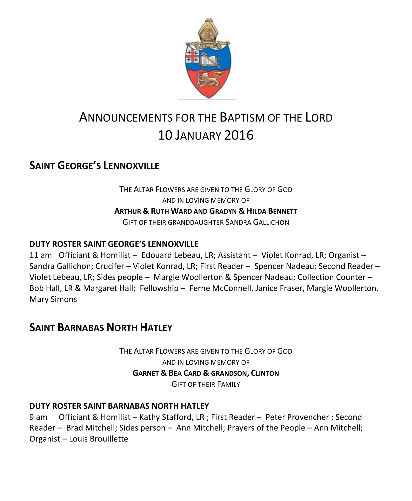

# ANNOUNCEMENTS FOR THE BAPTISM OF THE LORD 10 JANUARY 2016

# **SAINT GEORGE'S LENNOXVILLE**

THE ALTAR FLOWERS ARE GIVEN TO THE GLORY OF GOD AND IN LOVING MEMORY OF **ARTHUR & RUTH WARD AND GRADYN & HILDA BENNETT** GIFT OF THEIR GRANDDAUGHTER SANDRA GALLICHON

### **DUTY ROSTER SAINT GEORGE'S LENNOXVILLE**

11 am Officiant & Homilist – Edouard Lebeau, LR; Assistant – Violet Konrad, LR; Organist – Sandra Gallichon; Crucifer – Violet Konrad, LR; First Reader – Spencer Nadeau; Second Reader – Violet Lebeau, LR; Sides people – Margie Woollerton & Spencer Nadeau; Collection Counter – Bob Hall, LR & Margaret Hall; Fellowship – Ferne McConnell, Janice Fraser, Margie Woollerton, Mary Simons

## **SAINT BARNABAS NORTH HATLEY**

THE ALTAR FLOWERS ARE GIVEN TO THE GLORY OF GOD AND IN LOVING MEMORY OF **GARNET & BEA CARD & GRANDSON, CLINTON** GIFT OF THEIR FAMILY

### **DUTY ROSTER SAINT BARNABAS NORTH HATLEY**

9 am Officiant & Homilist – Kathy Stafford, LR ; First Reader – Peter Provencher ; Second Reader – Brad Mitchell; Sides person – Ann Mitchell; Prayers of the People – Ann Mitchell; Organist – Louis Brouillette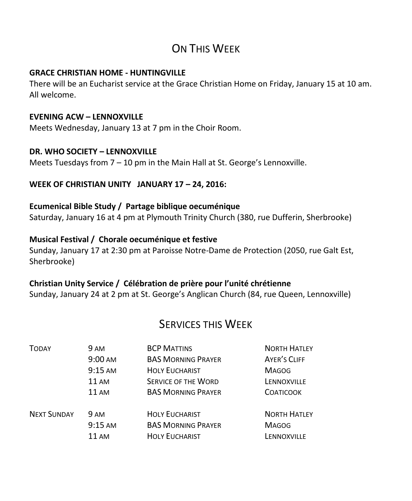# ON THIS WEEK

### **GRACE CHRISTIAN HOME - HUNTINGVILLE**

There will be an Eucharist service at the Grace Christian Home on Friday, January 15 at 10 am. All welcome.

### **EVENING ACW – LENNOXVILLE**

Meets Wednesday, January 13 at 7 pm in the Choir Room.

### **DR. WHO SOCIETY – LENNOXVILLE**

Meets Tuesdays from 7 – 10 pm in the Main Hall at St. George's Lennoxville.

### **WEEK OF CHRISTIAN UNITY JANUARY 17 – 24, 2016:**

### **Ecumenical Bible Study / Partage biblique oecuménique**

Saturday, January 16 at 4 pm at Plymouth Trinity Church (380, rue Dufferin, Sherbrooke)

### **Musical Festival / Chorale oecuménique et festive**

Sunday, January 17 at 2:30 pm at Paroisse Notre-Dame de Protection (2050, rue Galt Est, Sherbrooke)

### **Christian Unity Service / Célébration de prière pour l'unité chrétienne**

Sunday, January 24 at 2 pm at St. George's Anglican Church (84, rue Queen, Lennoxville)

## SERVICES THIS WEEK

| <b>TODAY</b>       | 9 AM              | <b>BCP MATTINS</b>         | <b>NORTH HATLEY</b> |
|--------------------|-------------------|----------------------------|---------------------|
|                    | $9:00 \text{ AM}$ | <b>BAS MORNING PRAYER</b>  | AYER'S CLIFF        |
|                    | $9:15$ AM         | <b>HOLY EUCHARIST</b>      | <b>MAGOG</b>        |
|                    | <b>11 AM</b>      | <b>SERVICE OF THE WORD</b> | LENNOXVILLE         |
|                    | <b>11 AM</b>      | <b>BAS MORNING PRAYER</b>  | <b>COATICOOK</b>    |
| <b>NEXT SUNDAY</b> | <b>9 AM</b>       | <b>HOLY EUCHARIST</b>      | <b>NORTH HATLEY</b> |
|                    | $9:15$ AM         | <b>BAS MORNING PRAYER</b>  | <b>MAGOG</b>        |
|                    | <b>11 AM</b>      | <b>HOLY EUCHARIST</b>      | LENNOXVILLE         |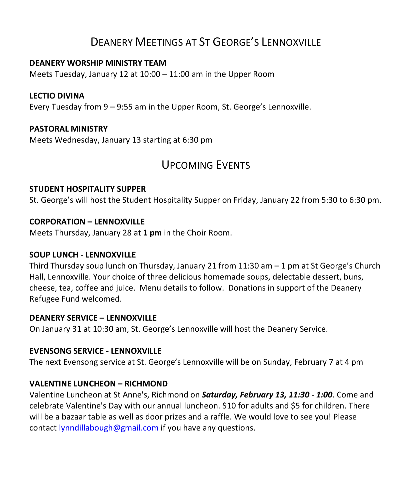# DEANERY MEETINGS AT ST GEORGE'S LENNOXVILLE

### **DEANERY WORSHIP MINISTRY TEAM**

Meets Tuesday, January 12 at 10:00 – 11:00 am in the Upper Room

### **LECTIO DIVINA**

Every Tuesday from 9 – 9:55 am in the Upper Room, St. George's Lennoxville.

### **PASTORAL MINISTRY**

Meets Wednesday, January 13 starting at 6:30 pm

## UPCOMING EVENTS

### **STUDENT HOSPITALITY SUPPER**

St. George's will host the Student Hospitality Supper on Friday, January 22 from 5:30 to 6:30 pm.

### **CORPORATION – LENNOXVILLE**

Meets Thursday, January 28 at **1 pm** in the Choir Room.

### **SOUP LUNCH - LENNOXVILLE**

Third Thursday soup lunch on Thursday, January 21 from 11:30 am  $-1$  pm at St George's Church Hall, Lennoxville. Your choice of three delicious homemade soups, delectable dessert, buns, cheese, tea, coffee and juice. Menu details to follow. Donations in support of the Deanery Refugee Fund welcomed.

### **DEANERY SERVICE – LENNOXVILLE**

On January 31 at 10:30 am, St. George's Lennoxville will host the Deanery Service.

### **EVENSONG SERVICE - LENNOXVILLE**

The next Evensong service at St. George's Lennoxville will be on Sunday, February 7 at 4 pm

### **VALENTINE LUNCHEON – RICHMOND**

Valentine Luncheon at St Anne's, Richmond on *Saturday, February 13, 11:30 - 1:00*. Come and celebrate Valentine's Day with our annual luncheon. \$10 for adults and \$5 for children. There will be a bazaar table as well as door prizes and a raffle. We would love to see you! Please contact [lynndillabough@gmail.com](https://webmail.ubishops.ca/owa/redir.aspx?SURL=6EKhRTHO4Pt53kSq4KbOJzArWwaL-MOrqXB8mETx9o-9E0EidRfTCG0AYQBpAGwAdABvADoAbAB5AG4AbgBkAGkAbABsAGEAYgBvAHUAZwBoAEAAZwBtAGEAaQBsAC4AYwBvAG0A&URL=mailto%3alynndillabough%40gmail.com) if you have any questions.